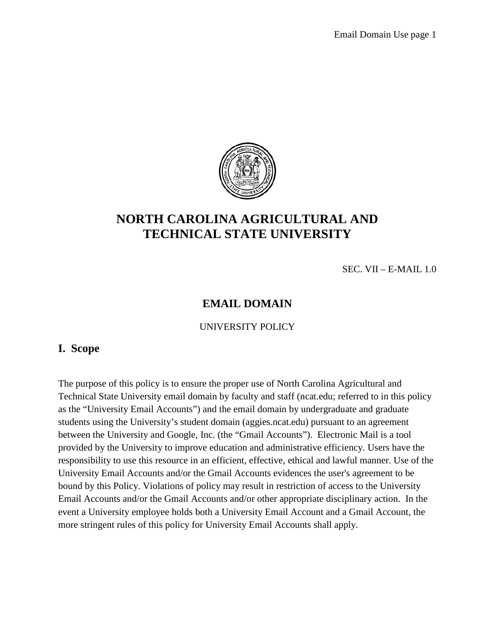

# **NORTH CAROLINA AGRICULTURAL AND TECHNICAL STATE UNIVERSITY**

SEC. VII – E-MAIL 1.0

# **EMAIL DOMAIN**

UNIVERSITY POLICY

#### **I. Scope**

The purpose of this policy is to ensure the proper use of North Carolina Agricultural and Technical State University email domain by faculty and staff (ncat.edu; referred to in this policy as the "University Email Accounts") and the email domain by undergraduate and graduate students using the University's student domain (aggies.ncat.edu) pursuant to an agreement between the University and Google, Inc. (the "Gmail Accounts"). Electronic Mail is a tool provided by the University to improve education and administrative efficiency. Users have the responsibility to use this resource in an efficient, effective, ethical and lawful manner. Use of the University Email Accounts and/or the Gmail Accounts evidences the user's agreement to be bound by this Policy. Violations of policy may result in restriction of access to the University Email Accounts and/or the Gmail Accounts and/or other appropriate disciplinary action. In the event a University employee holds both a University Email Account and a Gmail Account, the more stringent rules of this policy for University Email Accounts shall apply.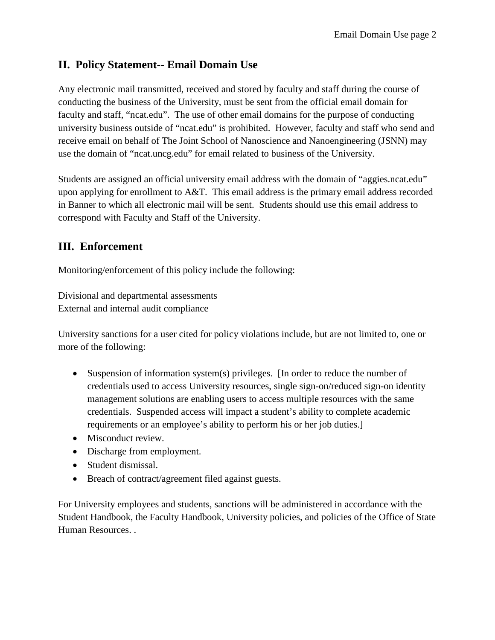## **II. Policy Statement-- Email Domain Use**

Any electronic mail transmitted, received and stored by faculty and staff during the course of conducting the business of the University, must be sent from the official email domain for faculty and staff, "ncat.edu". The use of other email domains for the purpose of conducting university business outside of "ncat.edu" is prohibited. However, faculty and staff who send and receive email on behalf of The Joint School of Nanoscience and Nanoengineering (JSNN) may use the domain of "ncat.uncg.edu" for email related to business of the University.

Students are assigned an official university email address with the domain of "aggies.ncat.edu" upon applying for enrollment to A&T. This email address is the primary email address recorded in Banner to which all electronic mail will be sent. Students should use this email address to correspond with Faculty and Staff of the University.

### **III. Enforcement**

Monitoring/enforcement of this policy include the following:

Divisional and departmental assessments External and internal audit compliance

University sanctions for a user cited for policy violations include, but are not limited to, one or more of the following:

- Suspension of information system(s) privileges. [In order to reduce the number of credentials used to access University resources, single sign-on/reduced sign-on identity management solutions are enabling users to access multiple resources with the same credentials. Suspended access will impact a student's ability to complete academic requirements or an employee's ability to perform his or her job duties.]
- Misconduct review.
- Discharge from employment.
- Student dismissal.
- Breach of contract/agreement filed against guests.

For University employees and students, sanctions will be administered in accordance with the Student Handbook, the Faculty Handbook, University policies, and policies of the Office of State Human Resources. .